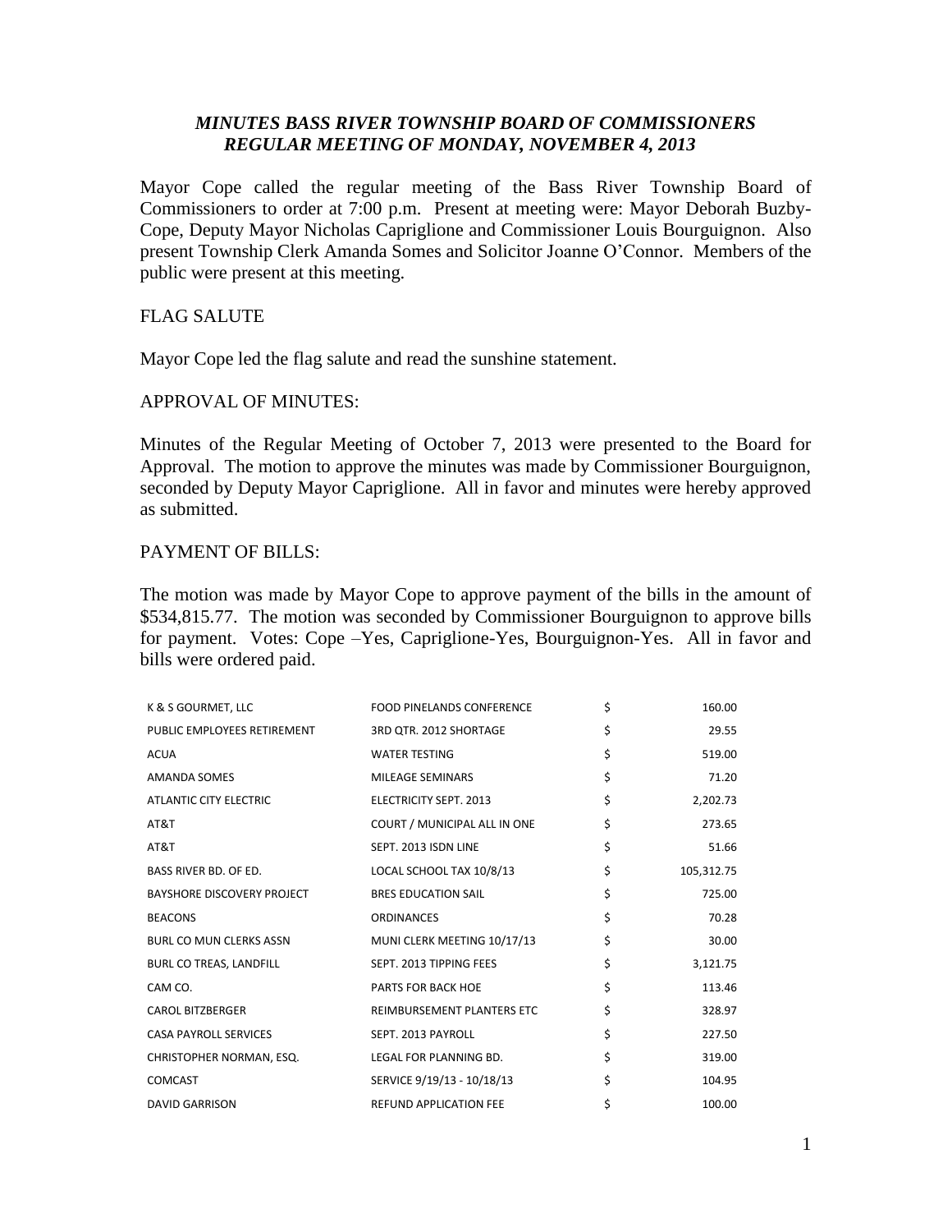## *MINUTES BASS RIVER TOWNSHIP BOARD OF COMMISSIONERS REGULAR MEETING OF MONDAY, NOVEMBER 4, 2013*

Mayor Cope called the regular meeting of the Bass River Township Board of Commissioners to order at 7:00 p.m. Present at meeting were: Mayor Deborah Buzby-Cope, Deputy Mayor Nicholas Capriglione and Commissioner Louis Bourguignon. Also present Township Clerk Amanda Somes and Solicitor Joanne O'Connor. Members of the public were present at this meeting.

## FLAG SALUTE

Mayor Cope led the flag salute and read the sunshine statement.

## APPROVAL OF MINUTES:

Minutes of the Regular Meeting of October 7, 2013 were presented to the Board for Approval. The motion to approve the minutes was made by Commissioner Bourguignon, seconded by Deputy Mayor Capriglione. All in favor and minutes were hereby approved as submitted.

## PAYMENT OF BILLS:

The motion was made by Mayor Cope to approve payment of the bills in the amount of \$534,815.77. The motion was seconded by Commissioner Bourguignon to approve bills for payment. Votes: Cope –Yes, Capriglione-Yes, Bourguignon-Yes. All in favor and bills were ordered paid.

| K & S GOURMET, LLC             | <b>FOOD PINELANDS CONFERENCE</b> | \$<br>160.00     |
|--------------------------------|----------------------------------|------------------|
| PUBLIC EMPLOYEES RETIREMENT    | 3RD QTR. 2012 SHORTAGE           | \$<br>29.55      |
| <b>ACUA</b>                    | <b>WATER TESTING</b>             | \$<br>519.00     |
| <b>AMANDA SOMES</b>            | <b>MILEAGE SEMINARS</b>          | \$<br>71.20      |
| <b>ATLANTIC CITY ELECTRIC</b>  | <b>ELECTRICITY SEPT. 2013</b>    | \$<br>2,202.73   |
| AT&T                           | COURT / MUNICIPAL ALL IN ONE     | \$<br>273.65     |
| AT&T                           | SEPT. 2013 ISDN LINE             | \$<br>51.66      |
| BASS RIVER BD. OF ED.          | LOCAL SCHOOL TAX 10/8/13         | \$<br>105,312.75 |
| BAYSHORE DISCOVERY PROJECT     | <b>BRES EDUCATION SAIL</b>       | \$<br>725.00     |
| <b>BEACONS</b>                 | <b>ORDINANCES</b>                | \$<br>70.28      |
| <b>BURL CO MUN CLERKS ASSN</b> | MUNI CLERK MEETING 10/17/13      | \$<br>30.00      |
| BURL CO TREAS, LANDFILL        | SEPT. 2013 TIPPING FEES          | \$<br>3,121.75   |
| CAM CO.                        | PARTS FOR BACK HOE               | \$<br>113.46     |
| <b>CAROL BITZBERGER</b>        | REIMBURSEMENT PLANTERS ETC       | \$<br>328.97     |
| <b>CASA PAYROLL SERVICES</b>   | SEPT. 2013 PAYROLL               | \$<br>227.50     |
| CHRISTOPHER NORMAN, ESQ.       | LEGAL FOR PLANNING BD.           | \$<br>319.00     |
| <b>COMCAST</b>                 | SERVICE 9/19/13 - 10/18/13       | \$<br>104.95     |
| <b>DAVID GARRISON</b>          | <b>REFUND APPLICATION FEE</b>    | \$<br>100.00     |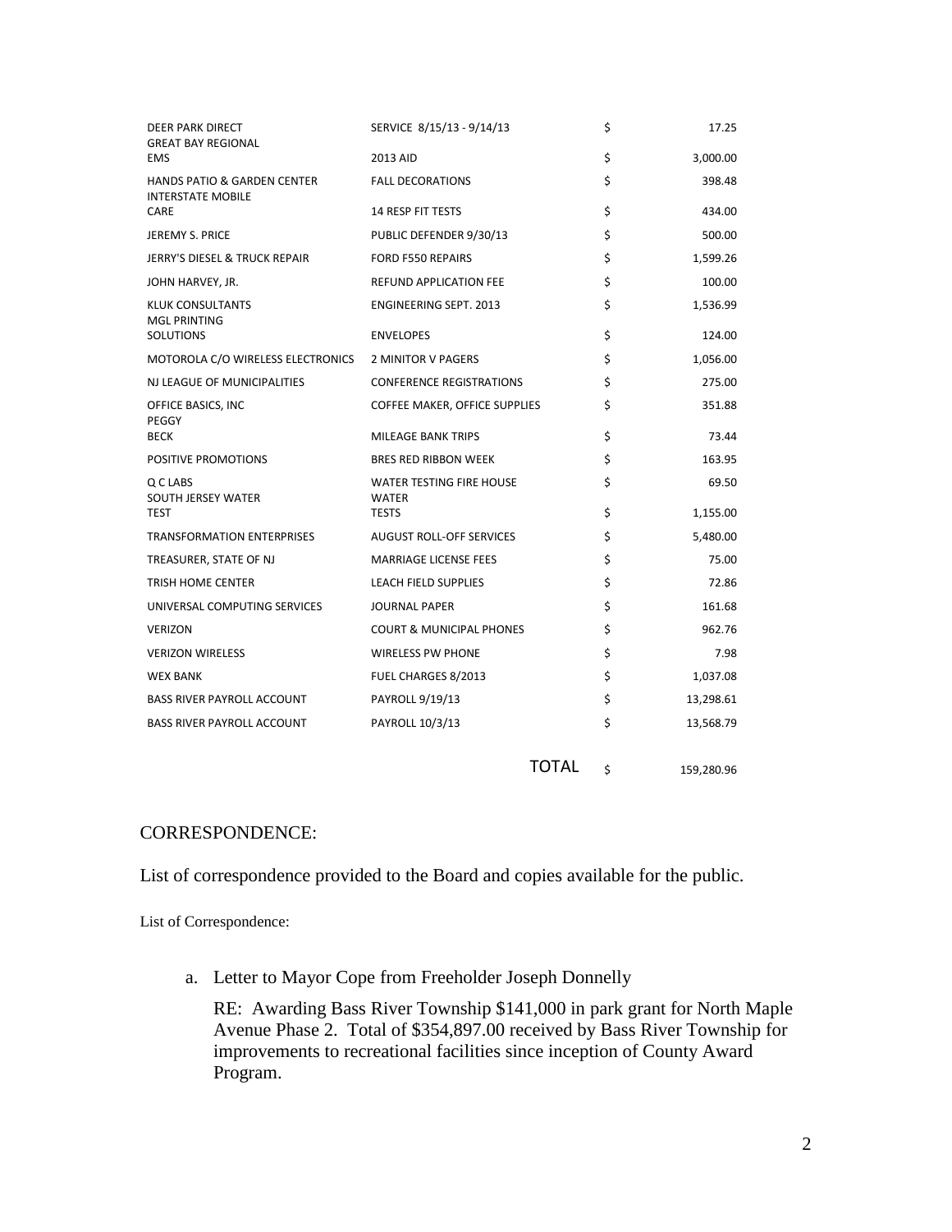| DEER PARK DIRECT<br><b>GREAT BAY REGIONAL</b>                      | SERVICE 8/15/13 - 9/14/13                | \$                 | 17.25      |
|--------------------------------------------------------------------|------------------------------------------|--------------------|------------|
| <b>EMS</b>                                                         | 2013 AID                                 | \$                 | 3,000.00   |
| <b>HANDS PATIO &amp; GARDEN CENTER</b><br><b>INTERSTATE MOBILE</b> | <b>FALL DECORATIONS</b>                  | \$                 | 398.48     |
| CARE                                                               | <b>14 RESP FIT TESTS</b>                 | \$                 | 434.00     |
| JEREMY S. PRICE                                                    | PUBLIC DEFENDER 9/30/13                  | \$                 | 500.00     |
| <b>JERRY'S DIESEL &amp; TRUCK REPAIR</b>                           | <b>FORD F550 REPAIRS</b>                 | \$                 | 1,599.26   |
| JOHN HARVEY, JR.                                                   | <b>REFUND APPLICATION FEE</b>            | \$                 | 100.00     |
| KLUK CONSULTANTS<br><b>MGL PRINTING</b>                            | <b>ENGINEERING SEPT. 2013</b>            | \$                 | 1,536.99   |
| <b>SOLUTIONS</b>                                                   | <b>ENVELOPES</b>                         | \$                 | 124.00     |
| MOTOROLA C/O WIRELESS ELECTRONICS                                  | 2 MINITOR V PAGERS                       | \$                 | 1,056.00   |
| NJ LEAGUE OF MUNICIPALITIES                                        | <b>CONFERENCE REGISTRATIONS</b>          | \$                 | 275.00     |
| OFFICE BASICS, INC<br>PEGGY                                        | COFFEE MAKER, OFFICE SUPPLIES            | \$                 | 351.88     |
| <b>BECK</b>                                                        | MILEAGE BANK TRIPS                       | \$                 | 73.44      |
| POSITIVE PROMOTIONS                                                | <b>BRES RED RIBBON WEEK</b>              | \$                 | 163.95     |
| Q C LABS<br>SOUTH JERSEY WATER                                     | WATER TESTING FIRE HOUSE<br><b>WATER</b> | \$                 | 69.50      |
| <b>TEST</b>                                                        | <b>TESTS</b>                             | \$                 | 1,155.00   |
| <b>TRANSFORMATION ENTERPRISES</b>                                  | <b>AUGUST ROLL-OFF SERVICES</b>          | \$                 | 5,480.00   |
| TREASURER, STATE OF NJ                                             | <b>MARRIAGE LICENSE FEES</b>             | \$                 | 75.00      |
| TRISH HOME CENTER                                                  | LEACH FIELD SUPPLIES                     | \$                 | 72.86      |
| UNIVERSAL COMPUTING SERVICES                                       | <b>JOURNAL PAPER</b>                     | \$                 | 161.68     |
| <b>VERIZON</b>                                                     | <b>COURT &amp; MUNICIPAL PHONES</b>      | \$                 | 962.76     |
| <b>VERIZON WIRELESS</b>                                            | <b>WIRELESS PW PHONE</b>                 | \$                 | 7.98       |
| <b>WEX BANK</b>                                                    | FUEL CHARGES 8/2013                      | \$                 | 1,037.08   |
| <b>BASS RIVER PAYROLL ACCOUNT</b>                                  | PAYROLL 9/19/13                          | \$                 | 13,298.61  |
| <b>BASS RIVER PAYROLL ACCOUNT</b>                                  | PAYROLL 10/3/13                          | \$                 | 13,568.79  |
|                                                                    |                                          | <b>TOTAL</b><br>\$ | 159,280.96 |

## CORRESPONDENCE:

List of correspondence provided to the Board and copies available for the public.

List of Correspondence:

a. Letter to Mayor Cope from Freeholder Joseph Donnelly

RE: Awarding Bass River Township \$141,000 in park grant for North Maple Avenue Phase 2. Total of \$354,897.00 received by Bass River Township for improvements to recreational facilities since inception of County Award Program.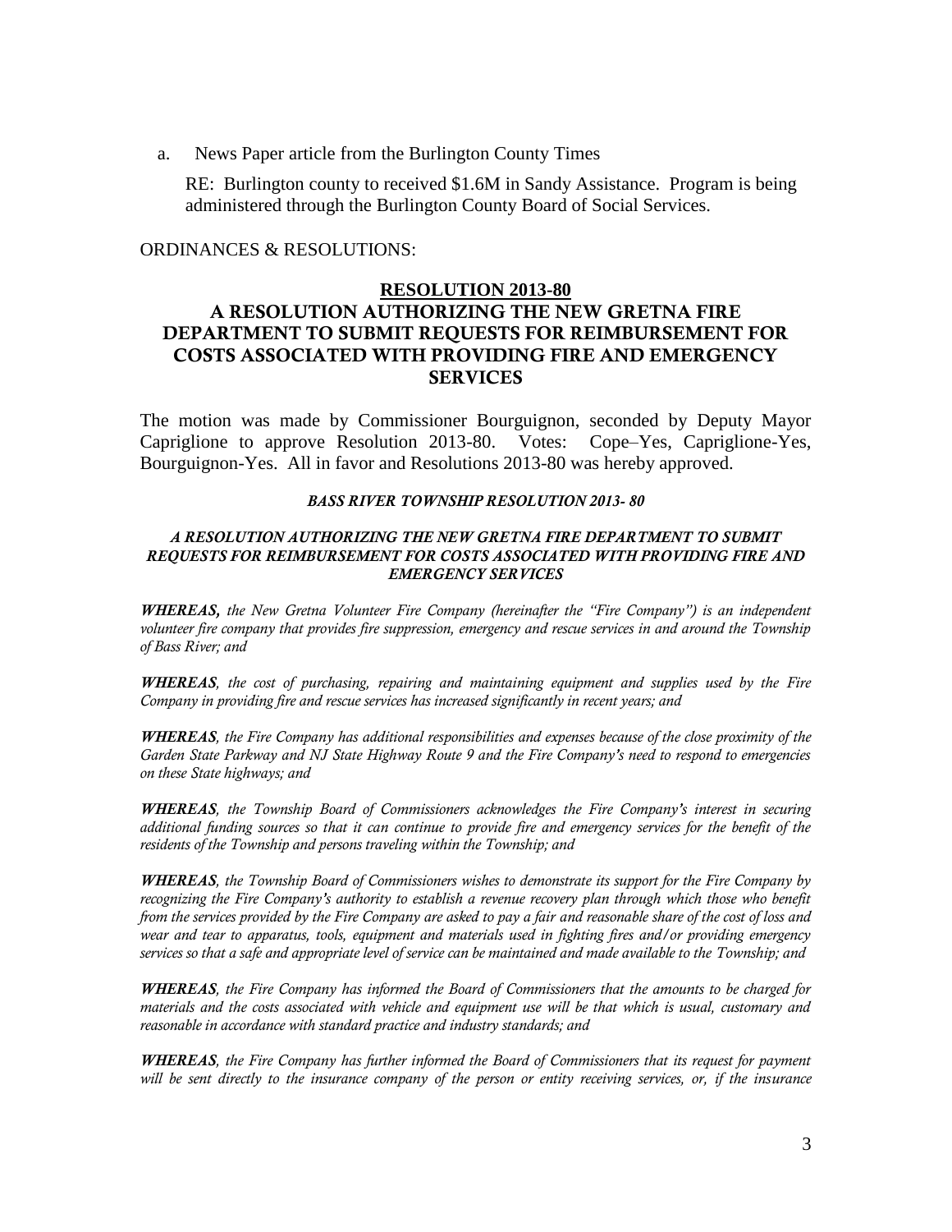a. News Paper article from the Burlington County Times

RE: Burlington county to received \$1.6M in Sandy Assistance. Program is being administered through the Burlington County Board of Social Services.

## ORDINANCES & RESOLUTIONS:

### **RESOLUTION 2013-80**

# **A RESOLUTION AUTHORIZING THE NEW GRETNA FIRE DEPARTMENT TO SUBMIT REQUESTS FOR REIMBURSEMENT FOR COSTS ASSOCIATED WITH PROVIDING FIRE AND EMERGENCY SERVICES**

The motion was made by Commissioner Bourguignon, seconded by Deputy Mayor Capriglione to approve Resolution 2013-80. Votes: Cope–Yes, Capriglione-Yes, Bourguignon-Yes. All in favor and Resolutions 2013-80 was hereby approved.

#### *BASS RIVER TOWNSHIP RESOLUTION 2013- 80*

### *A RESOLUTION AUTHORIZING THE NEW GRETNA FIRE DEPARTMENT TO SUBMIT REQUESTS FOR REIMBURSEMENT FOR COSTS ASSOCIATED WITH PROVIDING FIRE AND EMERGENCY SERVICES*

*WHEREAS, the New Gretna Volunteer Fire Company (hereinafter the "Fire Company") is an independent volunteer fire company that provides fire suppression, emergency and rescue services in and around the Township of Bass River; and*

*WHEREAS, the cost of purchasing, repairing and maintaining equipment and supplies used by the Fire Company in providing fire and rescue services has increased significantly in recent years; and*

*WHEREAS, the Fire Company has additional responsibilities and expenses because of the close proximity of the Garden State Parkway and NJ State Highway Route 9 and the Fire Company's need to respond to emergencies on these State highways; and*

*WHEREAS, the Township Board of Commissioners acknowledges the Fire Company's interest in securing additional funding sources so that it can continue to provide fire and emergency services for the benefit of the residents of the Township and persons traveling within the Township; and* 

*WHEREAS, the Township Board of Commissioners wishes to demonstrate its support for the Fire Company by recognizing the Fire Company's authority to establish a revenue recovery plan through which those who benefit from the services provided by the Fire Company are asked to pay a fair and reasonable share of the cost of loss and wear and tear to apparatus, tools, equipment and materials used in fighting fires and/or providing emergency services so that a safe and appropriate level of service can be maintained and made available to the Township; and* 

*WHEREAS, the Fire Company has informed the Board of Commissioners that the amounts to be charged for materials and the costs associated with vehicle and equipment use will be that which is usual, customary and reasonable in accordance with standard practice and industry standards; and* 

*WHEREAS, the Fire Company has further informed the Board of Commissioners that its request for payment will be sent directly to the insurance company of the person or entity receiving services, or, if the insurance*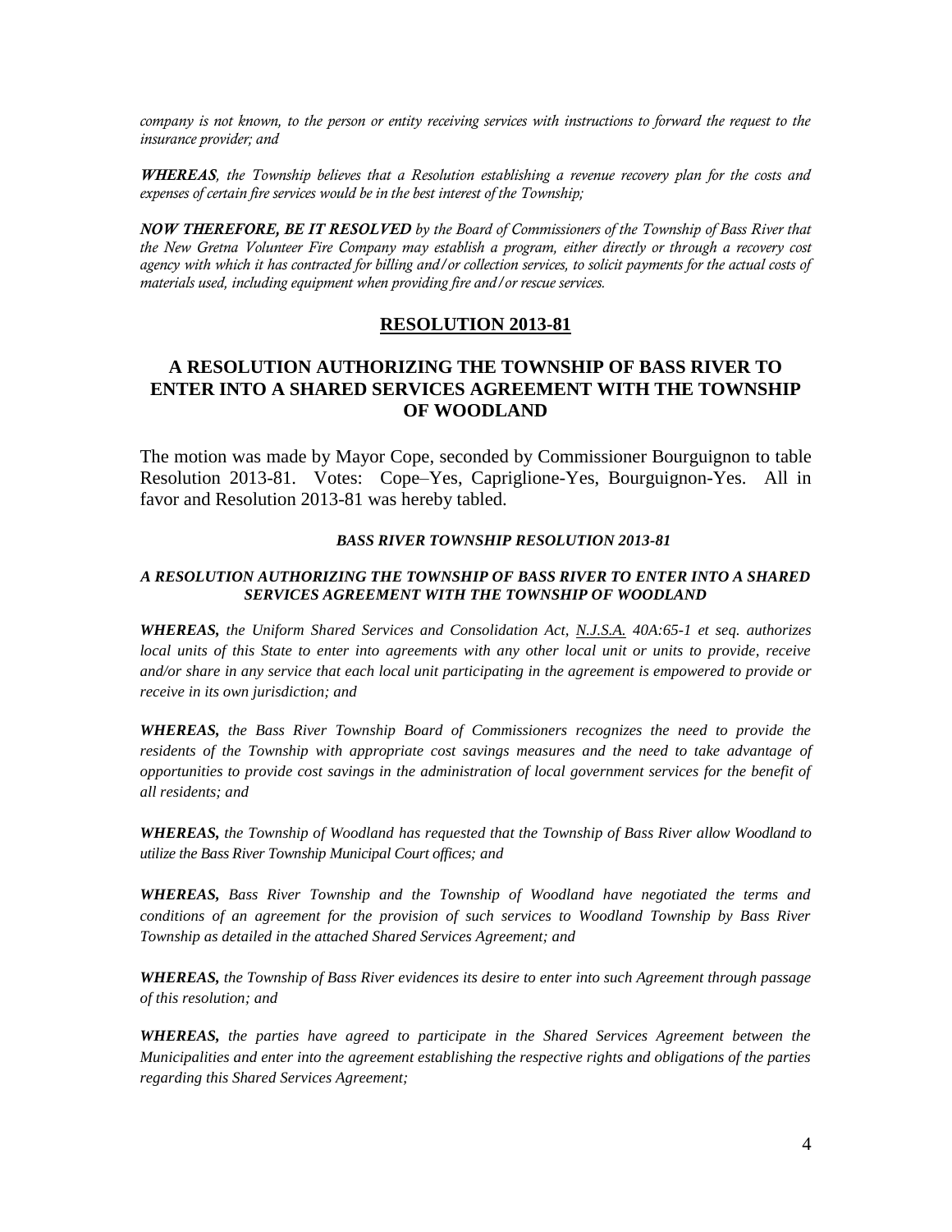*company is not known, to the person or entity receiving services with instructions to forward the request to the insurance provider; and* 

*WHEREAS, the Township believes that a Resolution establishing a revenue recovery plan for the costs and expenses of certain fire services would be in the best interest of the Township;*

*NOW THEREFORE, BE IT RESOLVED by the Board of Commissioners of the Township of Bass River that the New Gretna Volunteer Fire Company may establish a program, either directly or through a recovery cost agency with which it has contracted for billing and/or collection services, to solicit payments for the actual costs of materials used, including equipment when providing fire and/or rescue services.* 

## **RESOLUTION 2013-81**

## **A RESOLUTION AUTHORIZING THE TOWNSHIP OF BASS RIVER TO ENTER INTO A SHARED SERVICES AGREEMENT WITH THE TOWNSHIP OF WOODLAND**

The motion was made by Mayor Cope, seconded by Commissioner Bourguignon to table Resolution 2013-81. Votes: Cope–Yes, Capriglione-Yes, Bourguignon-Yes. All in favor and Resolution 2013-81 was hereby tabled.

#### *BASS RIVER TOWNSHIP RESOLUTION 2013-81*

### *A RESOLUTION AUTHORIZING THE TOWNSHIP OF BASS RIVER TO ENTER INTO A SHARED SERVICES AGREEMENT WITH THE TOWNSHIP OF WOODLAND*

*WHEREAS, the Uniform Shared Services and Consolidation Act, N.J.S.A. 40A:65-1 et seq. authorizes local units of this State to enter into agreements with any other local unit or units to provide, receive and/or share in any service that each local unit participating in the agreement is empowered to provide or receive in its own jurisdiction; and*

*WHEREAS, the Bass River Township Board of Commissioners recognizes the need to provide the residents of the Township with appropriate cost savings measures and the need to take advantage of opportunities to provide cost savings in the administration of local government services for the benefit of all residents; and*

*WHEREAS, the Township of Woodland has requested that the Township of Bass River allow Woodland to utilize the Bass River Township Municipal Court offices; and*

*WHEREAS, Bass River Township and the Township of Woodland have negotiated the terms and conditions of an agreement for the provision of such services to Woodland Township by Bass River Township as detailed in the attached Shared Services Agreement; and*

*WHEREAS, the Township of Bass River evidences its desire to enter into such Agreement through passage of this resolution; and*

*WHEREAS, the parties have agreed to participate in the Shared Services Agreement between the Municipalities and enter into the agreement establishing the respective rights and obligations of the parties regarding this Shared Services Agreement;*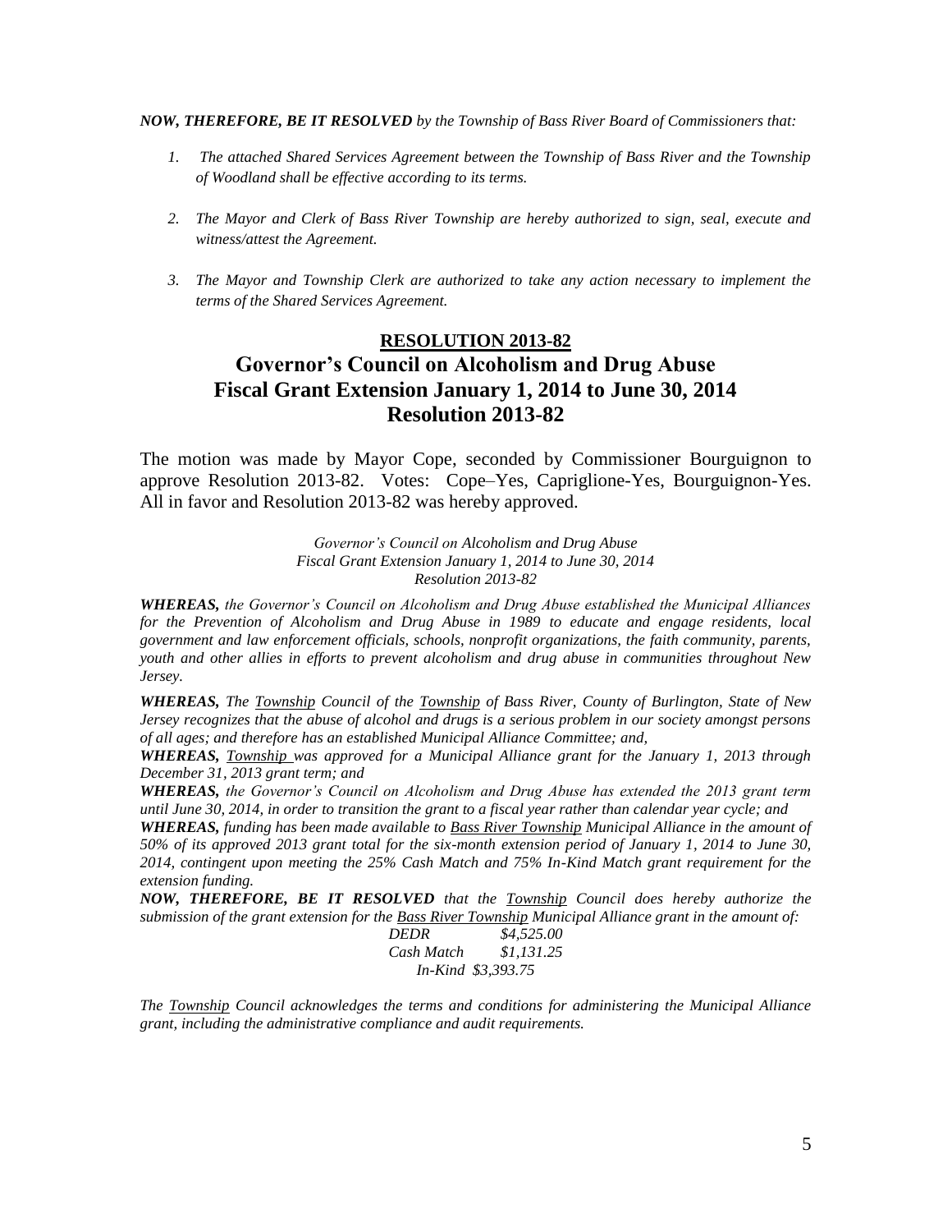#### *NOW, THEREFORE, BE IT RESOLVED by the Township of Bass River Board of Commissioners that:*

- *1. The attached Shared Services Agreement between the Township of Bass River and the Township of Woodland shall be effective according to its terms.*
- *2. The Mayor and Clerk of Bass River Township are hereby authorized to sign, seal, execute and witness/attest the Agreement.*
- *3. The Mayor and Township Clerk are authorized to take any action necessary to implement the terms of the Shared Services Agreement.*

# **RESOLUTION 2013-82 Governor's Council on Alcoholism and Drug Abuse Fiscal Grant Extension January 1, 2014 to June 30, 2014 Resolution 2013-82**

The motion was made by Mayor Cope, seconded by Commissioner Bourguignon to approve Resolution 2013-82. Votes: Cope–Yes, Capriglione-Yes, Bourguignon-Yes. All in favor and Resolution 2013-82 was hereby approved.

> *Governor's Council on Alcoholism and Drug Abuse Fiscal Grant Extension January 1, 2014 to June 30, 2014 Resolution 2013-82*

*WHEREAS, the Governor's Council on Alcoholism and Drug Abuse established the Municipal Alliances*  for the Prevention of Alcoholism and Drug Abuse in 1989 to educate and engage residents, local *government and law enforcement officials, schools, nonprofit organizations, the faith community, parents, youth and other allies in efforts to prevent alcoholism and drug abuse in communities throughout New Jersey.*

*WHEREAS, The Township Council of the Township of Bass River, County of Burlington, State of New Jersey recognizes that the abuse of alcohol and drugs is a serious problem in our society amongst persons of all ages; and therefore has an established Municipal Alliance Committee; and,*

*WHEREAS, Township was approved for a Municipal Alliance grant for the January 1, 2013 through December 31, 2013 grant term; and*

*WHEREAS, the Governor's Council on Alcoholism and Drug Abuse has extended the 2013 grant term until June 30, 2014, in order to transition the grant to a fiscal year rather than calendar year cycle; and* 

*WHEREAS, funding has been made available to Bass River Township Municipal Alliance in the amount of 50% of its approved 2013 grant total for the six-month extension period of January 1, 2014 to June 30, 2014, contingent upon meeting the 25% Cash Match and 75% In-Kind Match grant requirement for the extension funding.*

*NOW, THEREFORE, BE IT RESOLVED that the Township Council does hereby authorize the submission of the grant extension for the Bass River Township Municipal Alliance grant in the amount of:*

| <b>DEDR</b> | \$4,525.00         |
|-------------|--------------------|
| Cash Match  | \$1.131.25         |
|             | In-Kind \$3,393.75 |

*The Township Council acknowledges the terms and conditions for administering the Municipal Alliance grant, including the administrative compliance and audit requirements.*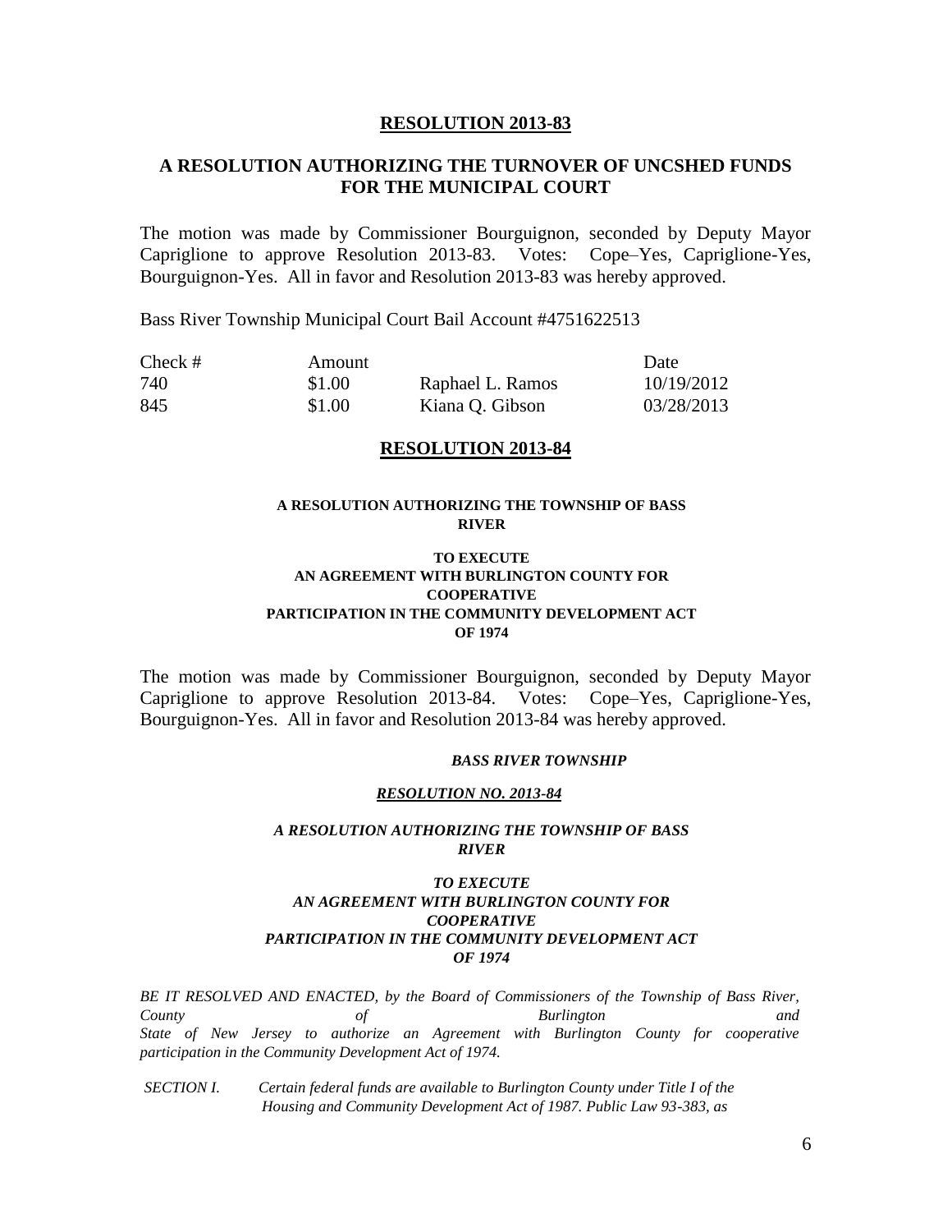### **RESOLUTION 2013-83**

## **A RESOLUTION AUTHORIZING THE TURNOVER OF UNCSHED FUNDS FOR THE MUNICIPAL COURT**

The motion was made by Commissioner Bourguignon, seconded by Deputy Mayor Capriglione to approve Resolution 2013-83. Votes: Cope–Yes, Capriglione-Yes, Bourguignon-Yes. All in favor and Resolution 2013-83 was hereby approved.

Bass River Township Municipal Court Bail Account #4751622513

| $Check \#$ | Amount |                  | Date       |
|------------|--------|------------------|------------|
| 740        | \$1.00 | Raphael L. Ramos | 10/19/2012 |
| 845        | \$1.00 | Kiana Q. Gibson  | 03/28/2013 |

### **RESOLUTION 2013-84**

### **A RESOLUTION AUTHORIZING THE TOWNSHIP OF BASS RIVER**

### **TO EXECUTE AN AGREEMENT WITH BURLINGTON COUNTY FOR COOPERATIVE PARTICIPATION IN THE COMMUNITY DEVELOPMENT ACT OF 1974**

The motion was made by Commissioner Bourguignon, seconded by Deputy Mayor Capriglione to approve Resolution 2013-84. Votes: Cope–Yes, Capriglione-Yes, Bourguignon-Yes. All in favor and Resolution 2013-84 was hereby approved.

#### *BASS RIVER TOWNSHIP*

#### *RESOLUTION NO. 2013-84*

#### *A RESOLUTION AUTHORIZING THE TOWNSHIP OF BASS RIVER*

### *TO EXECUTE AN AGREEMENT WITH BURLINGTON COUNTY FOR COOPERATIVE PARTICIPATION IN THE COMMUNITY DEVELOPMENT ACT OF 1974*

*BE IT RESOLVED AND ENACTED, by the Board of Commissioners of the Township of Bass River, County of Burlington and State of New Jersey to authorize an Agreement with Burlington County for cooperative participation in the Community Development Act of 1974.* 

*SECTION I. Certain federal funds are available to Burlington County under Title I of the Housing and Community Development Act of 1987. Public Law 93-383, as*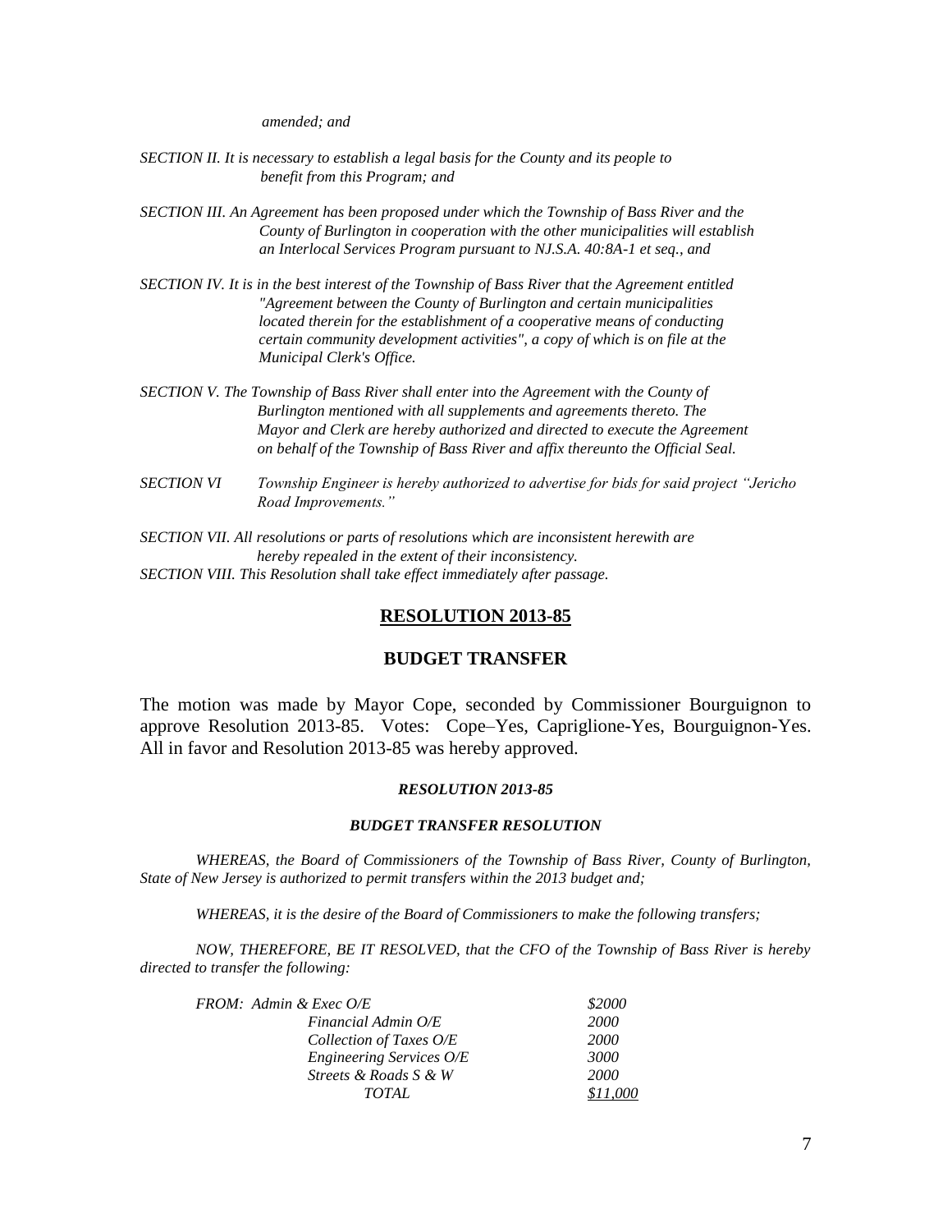*amended; and* 

- *SECTION II. It is necessary to establish a legal basis for the County and its people to benefit from this Program; and*
- *SECTION III. An Agreement has been proposed under which the Township of Bass River and the County of Burlington in cooperation with the other municipalities will establish an Interlocal Services Program pursuant to NJ.S.A. 40:8A-1 et seq., and*
- *SECTION IV. It is in the best interest of the Township of Bass River that the Agreement entitled "Agreement between the County of Burlington and certain municipalities located therein for the establishment of a cooperative means of conducting certain community development activities", a copy of which is on file at the Municipal Clerk's Office.*
- *SECTION V. The Township of Bass River shall enter into the Agreement with the County of Burlington mentioned with all supplements and agreements thereto. The Mayor and Clerk are hereby authorized and directed to execute the Agreement on behalf of the Township of Bass River and affix thereunto the Official Seal.*
- *SECTION VI Township Engineer is hereby authorized to advertise for bids for said project "Jericho Road Improvements."*
- *SECTION VII. All resolutions or parts of resolutions which are inconsistent herewith are hereby repealed in the extent of their inconsistency. SECTION VIII. This Resolution shall take effect immediately after passage.*

## **RESOLUTION 2013-85**

## **BUDGET TRANSFER**

The motion was made by Mayor Cope, seconded by Commissioner Bourguignon to approve Resolution 2013-85. Votes: Cope–Yes, Capriglione-Yes, Bourguignon-Yes. All in favor and Resolution 2013-85 was hereby approved.

#### *RESOLUTION 2013-85*

#### *BUDGET TRANSFER RESOLUTION*

*WHEREAS, the Board of Commissioners of the Township of Bass River, County of Burlington, State of New Jersey is authorized to permit transfers within the 2013 budget and;*

*WHEREAS, it is the desire of the Board of Commissioners to make the following transfers;*

*NOW, THEREFORE, BE IT RESOLVED, that the CFO of the Township of Bass River is hereby directed to transfer the following:*

| FROM: Admin & Exec O/E   | \$2000      |
|--------------------------|-------------|
| Financial Admin O/E      | <b>2000</b> |
| Collection of Taxes O/E  | <b>2000</b> |
| Engineering Services O/E | 3000        |
| Streets & Roads S & W    | 2000        |
| TOTAL.                   | \$11.000    |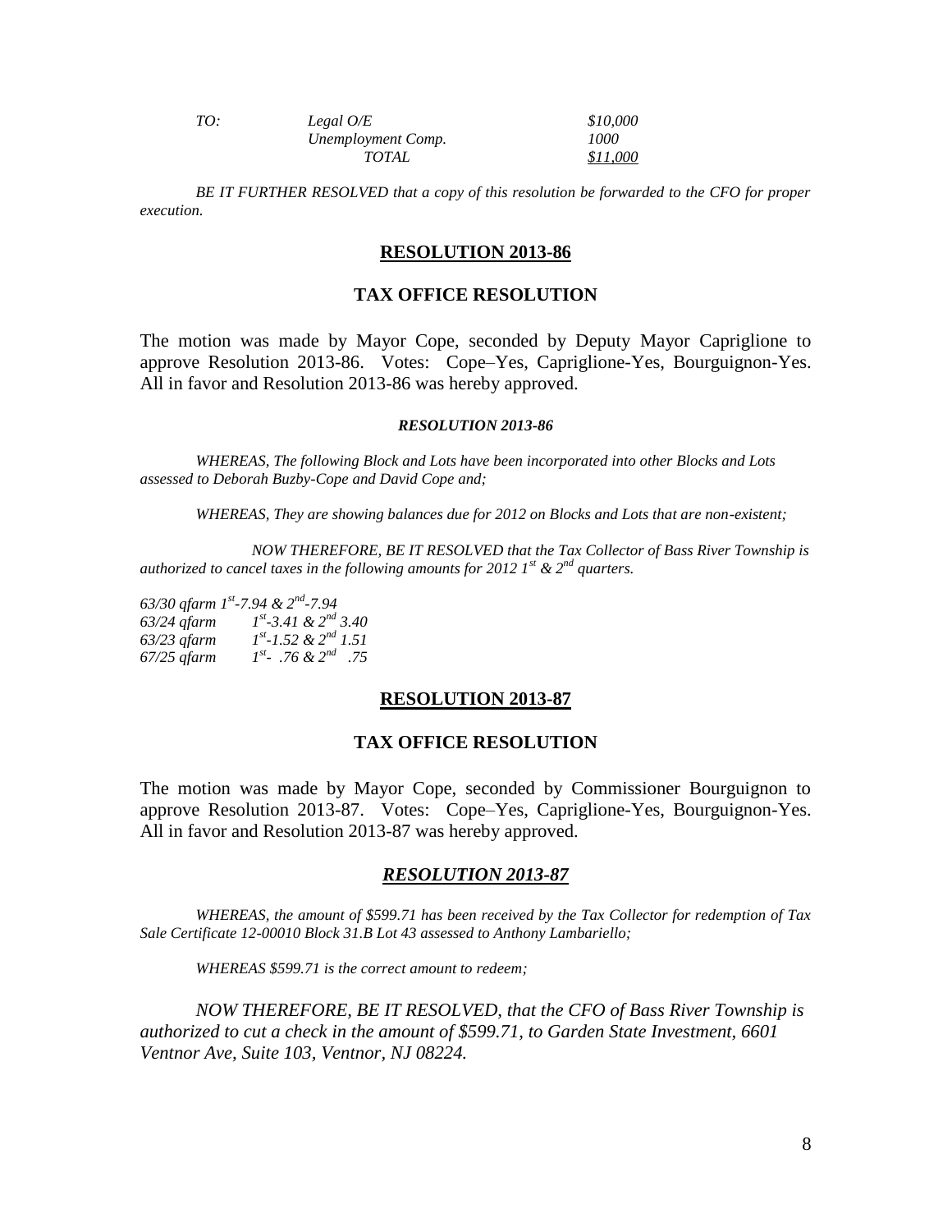| TO: | Legal $O/E$        | \$10,000 |
|-----|--------------------|----------|
|     | Unemployment Comp. | 1000     |
|     | TOTAL              | \$11,000 |

*BE IT FURTHER RESOLVED that a copy of this resolution be forwarded to the CFO for proper execution.*

#### **RESOLUTION 2013-86**

## **TAX OFFICE RESOLUTION**

The motion was made by Mayor Cope, seconded by Deputy Mayor Capriglione to approve Resolution 2013-86. Votes: Cope–Yes, Capriglione-Yes, Bourguignon-Yes. All in favor and Resolution 2013-86 was hereby approved.

#### *RESOLUTION 2013-86*

*WHEREAS, The following Block and Lots have been incorporated into other Blocks and Lots assessed to Deborah Buzby-Cope and David Cope and;*

*WHEREAS, They are showing balances due for 2012 on Blocks and Lots that are non-existent;*

*NOW THEREFORE, BE IT RESOLVED that the Tax Collector of Bass River Township is authorized to cancel taxes in the following amounts for 2012 1st & 2nd quarters.*

*63/30 qfarm 1st -7.94 & 2nd -7.94 63/24 qfarm 1 st -3.41 & 2nd 3.40 63/23 qfarm 1 st -1.52 & 2nd 1.51 67/25 qfarm 1 st - .76 & 2nd .75*

### **RESOLUTION 2013-87**

#### **TAX OFFICE RESOLUTION**

The motion was made by Mayor Cope, seconded by Commissioner Bourguignon to approve Resolution 2013-87. Votes: Cope–Yes, Capriglione-Yes, Bourguignon-Yes. All in favor and Resolution 2013-87 was hereby approved.

#### *RESOLUTION 2013-87*

*WHEREAS, the amount of \$599.71 has been received by the Tax Collector for redemption of Tax Sale Certificate 12-00010 Block 31.B Lot 43 assessed to Anthony Lambariello;*

*WHEREAS \$599.71 is the correct amount to redeem;*

*NOW THEREFORE, BE IT RESOLVED, that the CFO of Bass River Township is authorized to cut a check in the amount of \$599.71, to Garden State Investment, 6601 Ventnor Ave, Suite 103, Ventnor, NJ 08224.*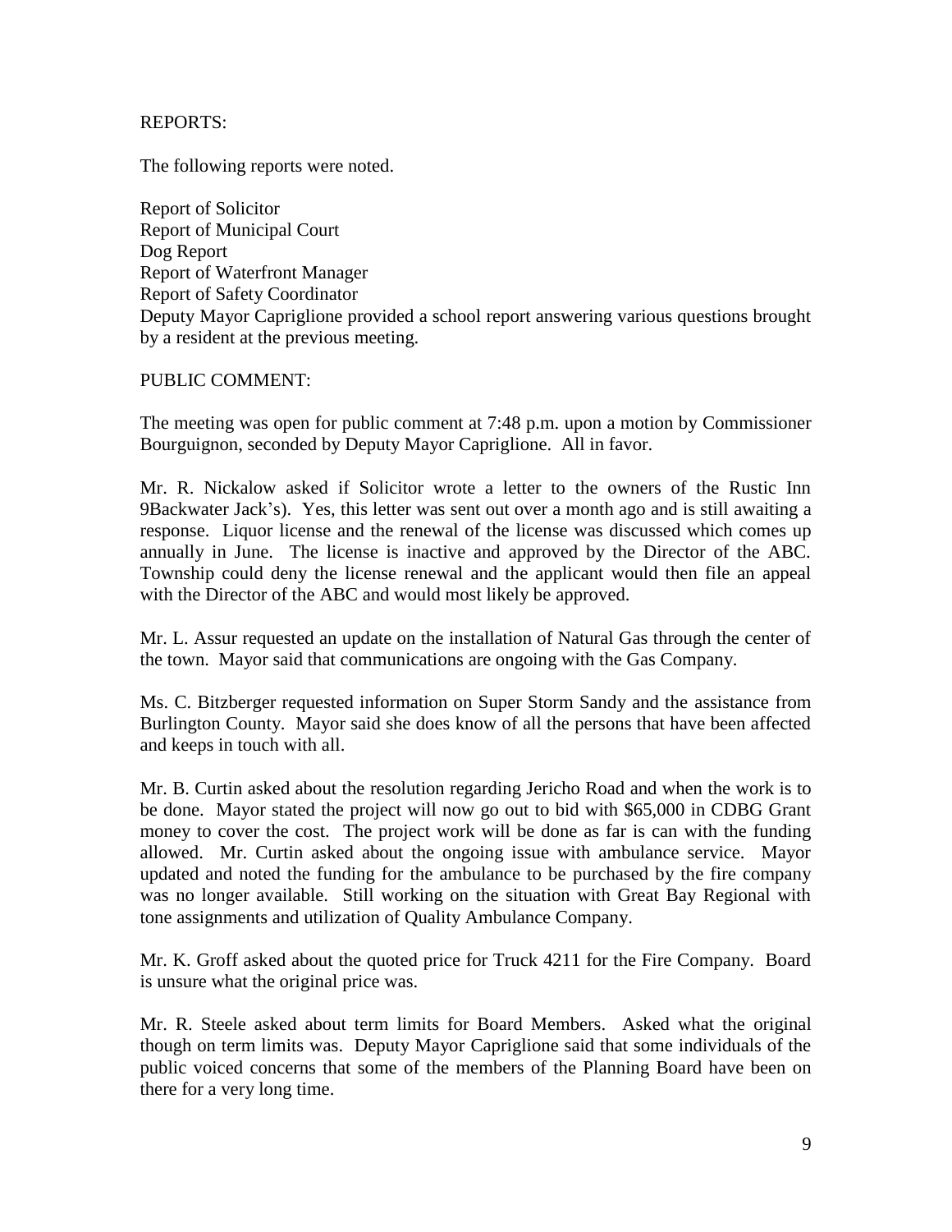## REPORTS:

The following reports were noted.

Report of Solicitor Report of Municipal Court Dog Report Report of Waterfront Manager Report of Safety Coordinator Deputy Mayor Capriglione provided a school report answering various questions brought by a resident at the previous meeting.

PUBLIC COMMENT:

The meeting was open for public comment at 7:48 p.m. upon a motion by Commissioner Bourguignon, seconded by Deputy Mayor Capriglione. All in favor.

Mr. R. Nickalow asked if Solicitor wrote a letter to the owners of the Rustic Inn 9Backwater Jack's). Yes, this letter was sent out over a month ago and is still awaiting a response. Liquor license and the renewal of the license was discussed which comes up annually in June. The license is inactive and approved by the Director of the ABC. Township could deny the license renewal and the applicant would then file an appeal with the Director of the ABC and would most likely be approved.

Mr. L. Assur requested an update on the installation of Natural Gas through the center of the town. Mayor said that communications are ongoing with the Gas Company.

Ms. C. Bitzberger requested information on Super Storm Sandy and the assistance from Burlington County. Mayor said she does know of all the persons that have been affected and keeps in touch with all.

Mr. B. Curtin asked about the resolution regarding Jericho Road and when the work is to be done. Mayor stated the project will now go out to bid with \$65,000 in CDBG Grant money to cover the cost. The project work will be done as far is can with the funding allowed. Mr. Curtin asked about the ongoing issue with ambulance service. Mayor updated and noted the funding for the ambulance to be purchased by the fire company was no longer available. Still working on the situation with Great Bay Regional with tone assignments and utilization of Quality Ambulance Company.

Mr. K. Groff asked about the quoted price for Truck 4211 for the Fire Company. Board is unsure what the original price was.

Mr. R. Steele asked about term limits for Board Members. Asked what the original though on term limits was. Deputy Mayor Capriglione said that some individuals of the public voiced concerns that some of the members of the Planning Board have been on there for a very long time.